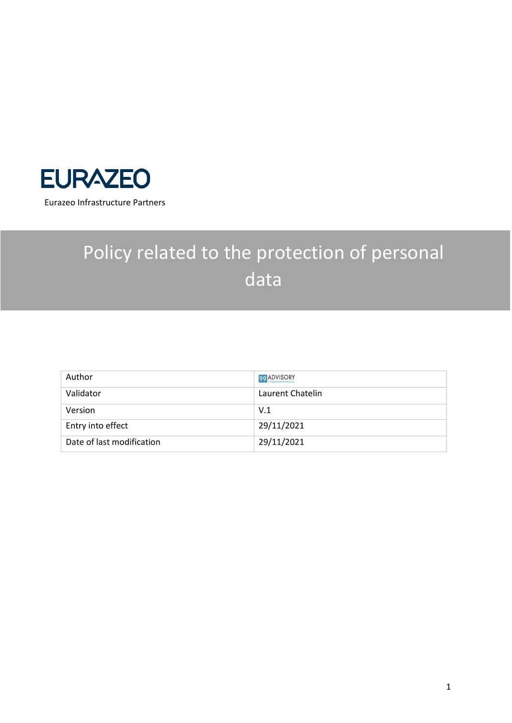

# Policy related to the protection of personal data

| Author                    | 99 ADVISORY      |
|---------------------------|------------------|
| Validator                 | Laurent Chatelin |
| Version                   | V.1              |
| Entry into effect         | 29/11/2021       |
| Date of last modification | 29/11/2021       |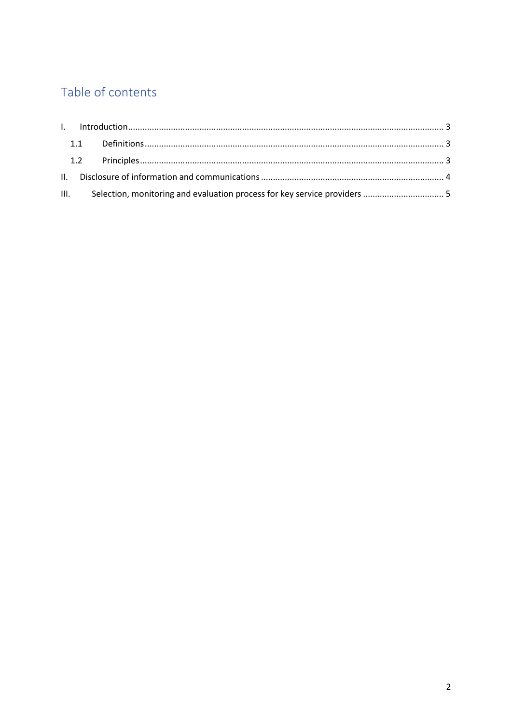# Table of contents

|  | III. Selection, monitoring and evaluation process for key service providers  5 |  |
|--|--------------------------------------------------------------------------------|--|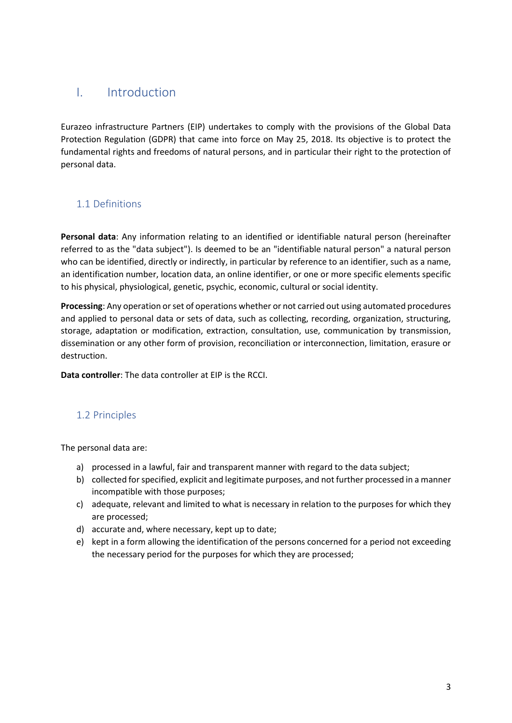### <span id="page-2-0"></span>I. Introduction

Eurazeo infrastructure Partners (EIP) undertakes to comply with the provisions of the Global Data Protection Regulation (GDPR) that came into force on May 25, 2018. Its objective is to protect the fundamental rights and freedoms of natural persons, and in particular their right to the protection of personal data.

#### <span id="page-2-1"></span>1.1 Definitions

**Personal data**: Any information relating to an identified or identifiable natural person (hereinafter referred to as the "data subject"). Is deemed to be an "identifiable natural person" a natural person who can be identified, directly or indirectly, in particular by reference to an identifier, such as a name, an identification number, location data, an online identifier, or one or more specific elements specific to his physical, physiological, genetic, psychic, economic, cultural or social identity.

**Processing**: Any operation or set of operations whether or not carried out using automated procedures and applied to personal data or sets of data, such as collecting, recording, organization, structuring, storage, adaptation or modification, extraction, consultation, use, communication by transmission, dissemination or any other form of provision, reconciliation or interconnection, limitation, erasure or destruction.

**Data controller**: The data controller at EIP is the RCCI.

#### <span id="page-2-2"></span>1.2 Principles

The personal data are:

- a) processed in a lawful, fair and transparent manner with regard to the data subject;
- b) collected for specified, explicit and legitimate purposes, and not further processed in a manner incompatible with those purposes;
- c) adequate, relevant and limited to what is necessary in relation to the purposes for which they are processed;
- d) accurate and, where necessary, kept up to date;
- e) kept in a form allowing the identification of the persons concerned for a period not exceeding the necessary period for the purposes for which they are processed;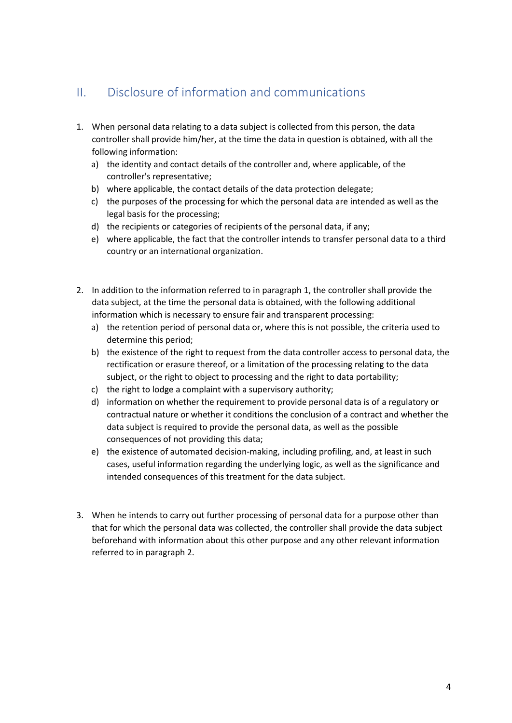## <span id="page-3-0"></span>II. Disclosure of information and communications

- 1. When personal data relating to a data subject is collected from this person, the data controller shall provide him/her, at the time the data in question is obtained, with all the following information:
	- a) the identity and contact details of the controller and, where applicable, of the controller's representative;
	- b) where applicable, the contact details of the data protection delegate;
	- c) the purposes of the processing for which the personal data are intended as well as the legal basis for the processing;
	- d) the recipients or categories of recipients of the personal data, if any;
	- e) where applicable, the fact that the controller intends to transfer personal data to a third country or an international organization.
- 2. In addition to the information referred to in paragraph 1, the controller shall provide the data subject, at the time the personal data is obtained, with the following additional information which is necessary to ensure fair and transparent processing:
	- a) the retention period of personal data or, where this is not possible, the criteria used to determine this period;
	- b) the existence of the right to request from the data controller access to personal data, the rectification or erasure thereof, or a limitation of the processing relating to the data subject, or the right to object to processing and the right to data portability;
	- c) the right to lodge a complaint with a supervisory authority;
	- d) information on whether the requirement to provide personal data is of a regulatory or contractual nature or whether it conditions the conclusion of a contract and whether the data subject is required to provide the personal data, as well as the possible consequences of not providing this data;
	- e) the existence of automated decision-making, including profiling, and, at least in such cases, useful information regarding the underlying logic, as well as the significance and intended consequences of this treatment for the data subject.
- 3. When he intends to carry out further processing of personal data for a purpose other than that for which the personal data was collected, the controller shall provide the data subject beforehand with information about this other purpose and any other relevant information referred to in paragraph 2.